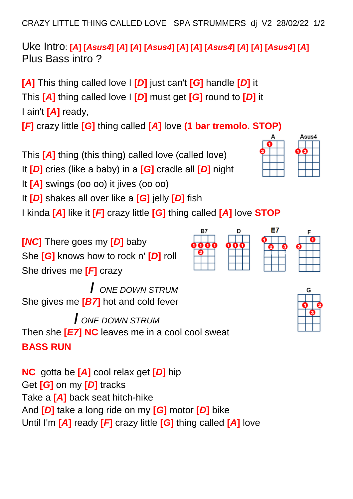CRAZY LITTLE THING CALLED LOVE SPA STRUMMERS dj V2 28/02/22 1/2

Uke Intro: [A] [Asus4] [A] [A] [Asus4] [A] [A] [A] [Asus4] [A] [A] [Asus4] [A] Plus Bass intro ?

**[***A***]** This thing called love I **[***D***]** just can't **[***G***]** handle **[***D***]** it This **[***A***]** thing called love I **[***D***]** must get **[***G***]** round to **[***D***]** it I ain't **[***A***]** ready,

**[***F***]** crazy little **[***G***]** thing called **[***A***]** love **(1 bar tremolo. STOP)**

This **[***A***]** thing (this thing) called love (called love)

It **[***D***]** cries (like a baby) in a **[***G***]** cradle all **[***D***]** night

It **[***A***]** swings (oo oo) it jives (oo oo)

It **[***D***]** shakes all over like a **[***G***]** jelly **[***D***]** fish

I kinda **[***A***]** like it **[***F***]** crazy little **[***G***]** thing called **[***A***]** love **STOP**

**[***NC***]** There goes my **[***D***]** baby She **[***G***]** knows how to rock n' **[***D***]** roll She drives me **[***F***]** crazy

 **/** *ONE DOWN STRUM* She gives me **[***B7***]** hot and cold fever

 **/** *ONE DOWN STRUM* Then she **[***E7***] NC** leaves me in a cool cool sweat **BASS RUN**

**NC** gotta be **[***A***]** cool relax get **[***D***]** hip Get **[***G***]** on my **[***D***]** tracks Take a **[***A***]** back seat hitch-hike And **[***D***]** take a long ride on my **[***G***]** motor **[***D***]** bike Until I'm **[***A***]** ready **[***F***]** crazy little **[***G***]** thing called **[***A***]** love